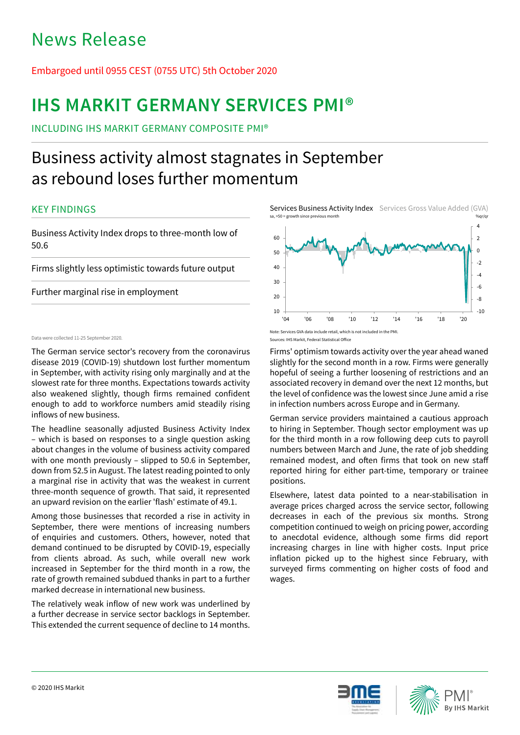# News Release

## Embargoed until 0955 CEST (0755 UTC) 5th October 2020

# **IHS MARKIT GERMANY SERVICES PMI®**

INCLUDING IHS MARKIT GERMANY COMPOSITE PMI®

# Business activity almost stagnates in September as rebound loses further momentum

## KEY FINDINGS

Business Activity Index drops to three-month low of 50.6

Firms slightly less optimistic towards future output

Further marginal rise in employment

## Data were collected 11-25 September 2020. Sources: IHS Markit, Federal Statistical Office

The German service sector's recovery from the coronavirus disease 2019 (COVID-19) shutdown lost further momentum in September, with activity rising only marginally and at the slowest rate for three months. Expectations towards activity also weakened slightly, though firms remained confident enough to add to workforce numbers amid steadily rising inflows of new business.

The headline seasonally adjusted Business Activity Index – which is based on responses to a single question asking about changes in the volume of business activity compared with one month previously – slipped to 50.6 in September, down from 52.5 in August. The latest reading pointed to only a marginal rise in activity that was the weakest in current three-month sequence of growth. That said, it represented an upward revision on the earlier 'flash' estimate of 49.1.

Among those businesses that recorded a rise in activity in September, there were mentions of increasing numbers of enquiries and customers. Others, however, noted that demand continued to be disrupted by COVID-19, especially from clients abroad. As such, while overall new work increased in September for the third month in a row, the rate of growth remained subdued thanks in part to a further marked decrease in international new business.

The relatively weak inflow of new work was underlined by a further decrease in service sector backlogs in September. This extended the current sequence of decline to 14 months.





Firms' optimism towards activity over the year ahead waned slightly for the second month in a row. Firms were generally hopeful of seeing a further loosening of restrictions and an associated recovery in demand over the next 12 months, but the level of confidence was the lowest since June amid a rise in infection numbers across Europe and in Germany.

German service providers maintained a cautious approach to hiring in September. Though sector employment was up for the third month in a row following deep cuts to payroll numbers between March and June, the rate of job shedding remained modest, and often firms that took on new staff reported hiring for either part-time, temporary or trainee positions.

Elsewhere, latest data pointed to a near-stabilisation in average prices charged across the service sector, following decreases in each of the previous six months. Strong competition continued to weigh on pricing power, according to anecdotal evidence, although some firms did report increasing charges in line with higher costs. Input price inflation picked up to the highest since February, with surveyed firms commenting on higher costs of food and wages.



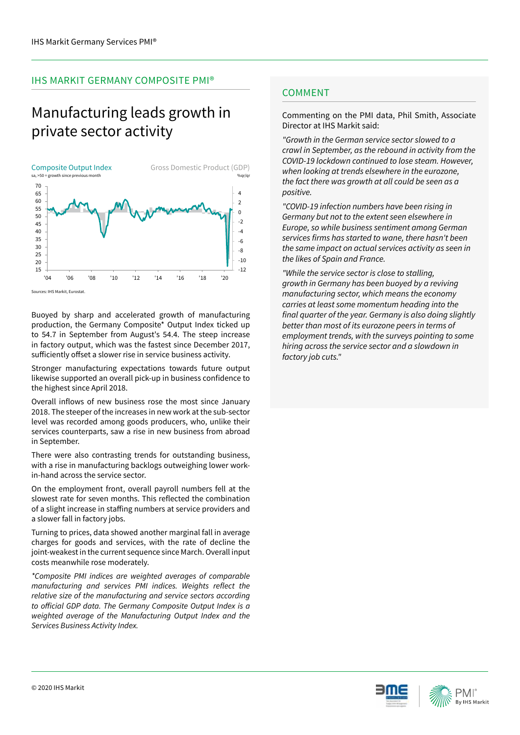## IHS MARKIT GERMANY COMPOSITE PMI®

# Manufacturing leads growth in private sector activity



Buoyed by sharp and accelerated growth of manufacturing production, the Germany Composite\* Output Index ticked up to 54.7 in September from August's 54.4. The steep increase in factory output, which was the fastest since December 2017,

sufficiently offset a slower rise in service business activity.

Stronger manufacturing expectations towards future output likewise supported an overall pick-up in business confidence to the highest since April 2018.

Overall inflows of new business rose the most since January 2018. The steeper of the increases in new work at the sub-sector level was recorded among goods producers, who, unlike their services counterparts, saw a rise in new business from abroad in September.

There were also contrasting trends for outstanding business, with a rise in manufacturing backlogs outweighing lower workin-hand across the service sector.

On the employment front, overall payroll numbers fell at the slowest rate for seven months. This reflected the combination of a slight increase in staffing numbers at service providers and a slower fall in factory jobs.

Turning to prices, data showed another marginal fall in average charges for goods and services, with the rate of decline the joint-weakest in the current sequence since March. Overall input costs meanwhile rose moderately.

*\*Composite PMI indices are weighted averages of comparable*  manufacturing and services PMI indices. Weights reflect the *relative size of the manufacturing and service sectors according*  to official GDP data. The Germany Composite Output Index is a weighted average of the Manufacturing Output Index and the Services Business Activity Index.

## **COMMENT**

Commenting on the PMI data, Phil Smith, Associate Director at IHS Markit said:

"Growth in the German service sector slowed to a crawl in September, as the rebound in activity from the COVID-19 lockdown continued to lose steam. However, when looking at trends elsewhere in the eurozone, *the fact there was growth at all could be seen as a positive.* 

"COVID-19 infection numbers have been rising in Germany but not to the extent seen elsewhere in Europe, so while business sentiment among German services firms has started to wane, there hasn't been the same impact on actual services activity as seen in the likes of Spain and France.

*"While the service sector is close to stalling,*  growth in Germany has been buoyed by a reviving manufacturing sector, which means the economy *carries at least some momentum heading into the*  final quarter of the year. Germany is also doing slightly *better than most of its eurozone peers in terms of*  employment trends, with the surveys pointing to some *hiring across the service sector and a slowdown in*  factory job cuts."